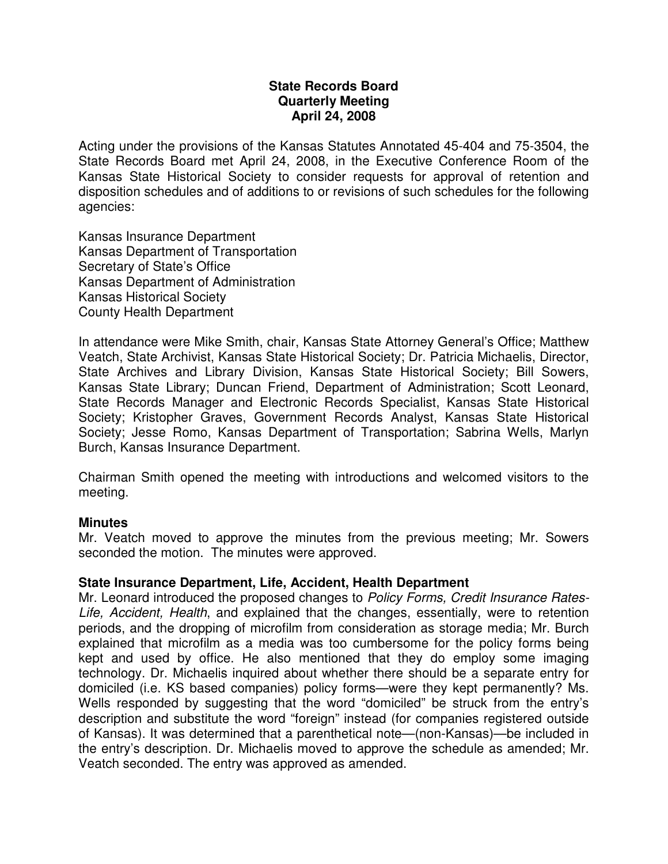### **State Records Board Quarterly Meeting April 24, 2008**

Acting under the provisions of the Kansas Statutes Annotated 45-404 and 75-3504, the State Records Board met April 24, 2008, in the Executive Conference Room of the Kansas State Historical Society to consider requests for approval of retention and disposition schedules and of additions to or revisions of such schedules for the following agencies:

Kansas Insurance Department Kansas Department of Transportation Secretary of State's Office Kansas Department of Administration Kansas Historical Society County Health Department

In attendance were Mike Smith, chair, Kansas State Attorney General's Office; Matthew Veatch, State Archivist, Kansas State Historical Society; Dr. Patricia Michaelis, Director, State Archives and Library Division, Kansas State Historical Society; Bill Sowers, Kansas State Library; Duncan Friend, Department of Administration; Scott Leonard, State Records Manager and Electronic Records Specialist, Kansas State Historical Society; Kristopher Graves, Government Records Analyst, Kansas State Historical Society; Jesse Romo, Kansas Department of Transportation; Sabrina Wells, Marlyn Burch, Kansas Insurance Department.

Chairman Smith opened the meeting with introductions and welcomed visitors to the meeting.

#### **Minutes**

Mr. Veatch moved to approve the minutes from the previous meeting; Mr. Sowers seconded the motion. The minutes were approved.

# **State Insurance Department, Life, Accident, Health Department**

Mr. Leonard introduced the proposed changes to Policy Forms, Credit Insurance Rates-Life, Accident, Health, and explained that the changes, essentially, were to retention periods, and the dropping of microfilm from consideration as storage media; Mr. Burch explained that microfilm as a media was too cumbersome for the policy forms being kept and used by office. He also mentioned that they do employ some imaging technology. Dr. Michaelis inquired about whether there should be a separate entry for domiciled (i.e. KS based companies) policy forms—were they kept permanently? Ms. Wells responded by suggesting that the word "domiciled" be struck from the entry's description and substitute the word "foreign" instead (for companies registered outside of Kansas). It was determined that a parenthetical note—(non-Kansas)—be included in the entry's description. Dr. Michaelis moved to approve the schedule as amended; Mr. Veatch seconded. The entry was approved as amended.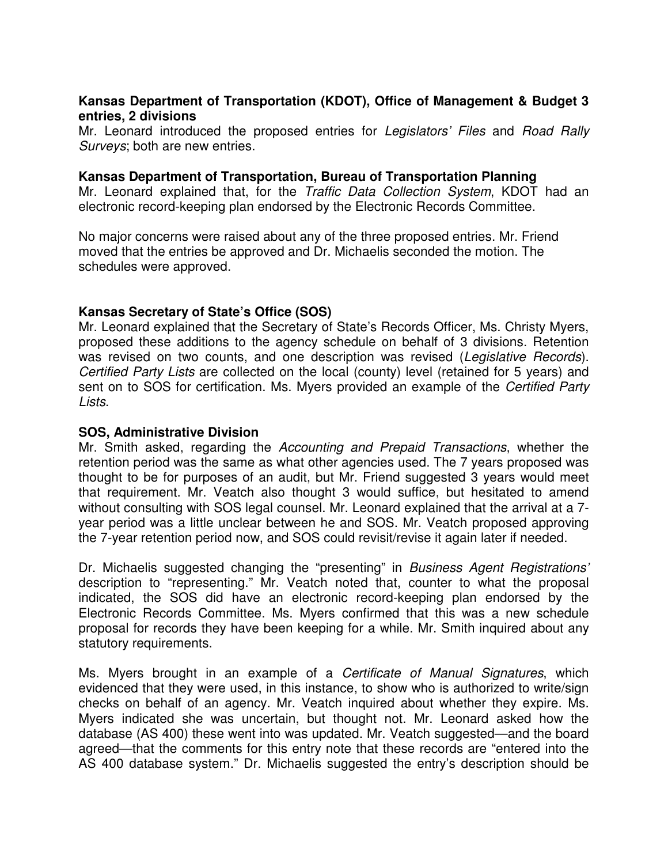# **Kansas Department of Transportation (KDOT), Office of Management & Budget 3 entries, 2 divisions**

Mr. Leonard introduced the proposed entries for Legislators' Files and Road Rally Surveys; both are new entries.

#### **Kansas Department of Transportation, Bureau of Transportation Planning**

Mr. Leonard explained that, for the Traffic Data Collection System, KDOT had an electronic record-keeping plan endorsed by the Electronic Records Committee.

No major concerns were raised about any of the three proposed entries. Mr. Friend moved that the entries be approved and Dr. Michaelis seconded the motion. The schedules were approved.

# **Kansas Secretary of State's Office (SOS)**

Mr. Leonard explained that the Secretary of State's Records Officer, Ms. Christy Myers, proposed these additions to the agency schedule on behalf of 3 divisions. Retention was revised on two counts, and one description was revised (Legislative Records). Certified Party Lists are collected on the local (county) level (retained for 5 years) and sent on to SOS for certification. Ms. Myers provided an example of the Certified Party Lists.

#### **SOS, Administrative Division**

Mr. Smith asked, regarding the Accounting and Prepaid Transactions, whether the retention period was the same as what other agencies used. The 7 years proposed was thought to be for purposes of an audit, but Mr. Friend suggested 3 years would meet that requirement. Mr. Veatch also thought 3 would suffice, but hesitated to amend without consulting with SOS legal counsel. Mr. Leonard explained that the arrival at a 7 year period was a little unclear between he and SOS. Mr. Veatch proposed approving the 7-year retention period now, and SOS could revisit/revise it again later if needed.

Dr. Michaelis suggested changing the "presenting" in Business Agent Registrations' description to "representing." Mr. Veatch noted that, counter to what the proposal indicated, the SOS did have an electronic record-keeping plan endorsed by the Electronic Records Committee. Ms. Myers confirmed that this was a new schedule proposal for records they have been keeping for a while. Mr. Smith inquired about any statutory requirements.

Ms. Myers brought in an example of a Certificate of Manual Signatures, which evidenced that they were used, in this instance, to show who is authorized to write/sign checks on behalf of an agency. Mr. Veatch inquired about whether they expire. Ms. Myers indicated she was uncertain, but thought not. Mr. Leonard asked how the database (AS 400) these went into was updated. Mr. Veatch suggested—and the board agreed—that the comments for this entry note that these records are "entered into the AS 400 database system." Dr. Michaelis suggested the entry's description should be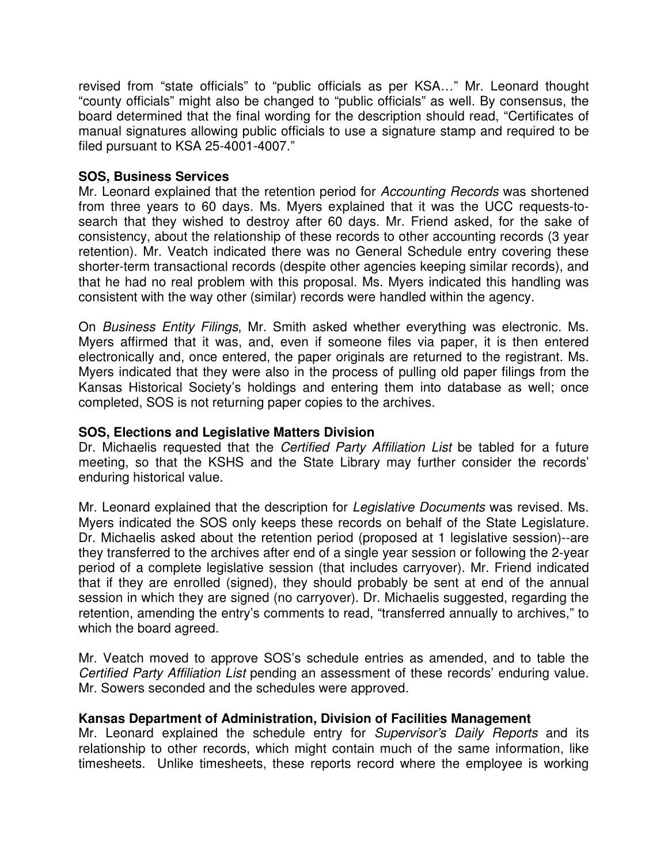revised from "state officials" to "public officials as per KSA…" Mr. Leonard thought "county officials" might also be changed to "public officials" as well. By consensus, the board determined that the final wording for the description should read, "Certificates of manual signatures allowing public officials to use a signature stamp and required to be filed pursuant to KSA 25-4001-4007."

# **SOS, Business Services**

Mr. Leonard explained that the retention period for Accounting Records was shortened from three years to 60 days. Ms. Myers explained that it was the UCC requests-tosearch that they wished to destroy after 60 days. Mr. Friend asked, for the sake of consistency, about the relationship of these records to other accounting records (3 year retention). Mr. Veatch indicated there was no General Schedule entry covering these shorter-term transactional records (despite other agencies keeping similar records), and that he had no real problem with this proposal. Ms. Myers indicated this handling was consistent with the way other (similar) records were handled within the agency.

On Business Entity Filings, Mr. Smith asked whether everything was electronic. Ms. Myers affirmed that it was, and, even if someone files via paper, it is then entered electronically and, once entered, the paper originals are returned to the registrant. Ms. Myers indicated that they were also in the process of pulling old paper filings from the Kansas Historical Society's holdings and entering them into database as well; once completed, SOS is not returning paper copies to the archives.

# **SOS, Elections and Legislative Matters Division**

Dr. Michaelis requested that the Certified Party Affiliation List be tabled for a future meeting, so that the KSHS and the State Library may further consider the records' enduring historical value.

Mr. Leonard explained that the description for Legislative Documents was revised. Ms. Myers indicated the SOS only keeps these records on behalf of the State Legislature. Dr. Michaelis asked about the retention period (proposed at 1 legislative session)--are they transferred to the archives after end of a single year session or following the 2-year period of a complete legislative session (that includes carryover). Mr. Friend indicated that if they are enrolled (signed), they should probably be sent at end of the annual session in which they are signed (no carryover). Dr. Michaelis suggested, regarding the retention, amending the entry's comments to read, "transferred annually to archives," to which the board agreed.

Mr. Veatch moved to approve SOS's schedule entries as amended, and to table the Certified Party Affiliation List pending an assessment of these records' enduring value. Mr. Sowers seconded and the schedules were approved.

# **Kansas Department of Administration, Division of Facilities Management**

Mr. Leonard explained the schedule entry for Supervisor's Daily Reports and its relationship to other records, which might contain much of the same information, like timesheets. Unlike timesheets, these reports record where the employee is working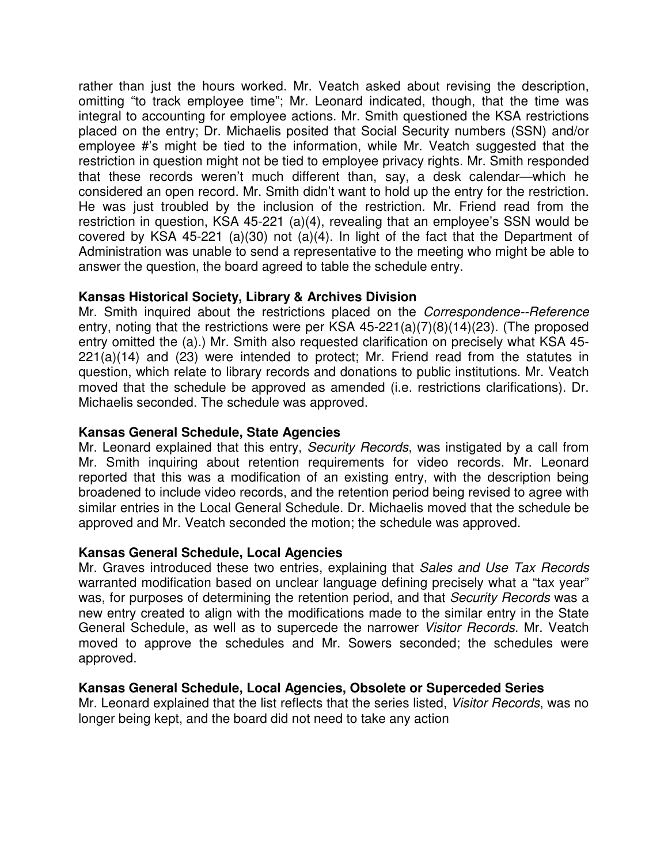rather than just the hours worked. Mr. Veatch asked about revising the description, omitting "to track employee time"; Mr. Leonard indicated, though, that the time was integral to accounting for employee actions. Mr. Smith questioned the KSA restrictions placed on the entry; Dr. Michaelis posited that Social Security numbers (SSN) and/or employee #'s might be tied to the information, while Mr. Veatch suggested that the restriction in question might not be tied to employee privacy rights. Mr. Smith responded that these records weren't much different than, say, a desk calendar—which he considered an open record. Mr. Smith didn't want to hold up the entry for the restriction. He was just troubled by the inclusion of the restriction. Mr. Friend read from the restriction in question, KSA 45-221 (a)(4), revealing that an employee's SSN would be covered by KSA 45-221 (a)(30) not (a)(4). In light of the fact that the Department of Administration was unable to send a representative to the meeting who might be able to answer the question, the board agreed to table the schedule entry.

# **Kansas Historical Society, Library & Archives Division**

Mr. Smith inquired about the restrictions placed on the Correspondence--Reference entry, noting that the restrictions were per KSA 45-221(a)(7)(8)(14)(23). (The proposed entry omitted the (a).) Mr. Smith also requested clarification on precisely what KSA 45- 221(a)(14) and (23) were intended to protect; Mr. Friend read from the statutes in question, which relate to library records and donations to public institutions. Mr. Veatch moved that the schedule be approved as amended (i.e. restrictions clarifications). Dr. Michaelis seconded. The schedule was approved.

### **Kansas General Schedule, State Agencies**

Mr. Leonard explained that this entry, Security Records, was instigated by a call from Mr. Smith inquiring about retention requirements for video records. Mr. Leonard reported that this was a modification of an existing entry, with the description being broadened to include video records, and the retention period being revised to agree with similar entries in the Local General Schedule. Dr. Michaelis moved that the schedule be approved and Mr. Veatch seconded the motion; the schedule was approved.

#### **Kansas General Schedule, Local Agencies**

Mr. Graves introduced these two entries, explaining that Sales and Use Tax Records warranted modification based on unclear language defining precisely what a "tax year" was, for purposes of determining the retention period, and that Security Records was a new entry created to align with the modifications made to the similar entry in the State General Schedule, as well as to supercede the narrower Visitor Records. Mr. Veatch moved to approve the schedules and Mr. Sowers seconded; the schedules were approved.

#### **Kansas General Schedule, Local Agencies, Obsolete or Superceded Series**

Mr. Leonard explained that the list reflects that the series listed, Visitor Records, was no longer being kept, and the board did not need to take any action